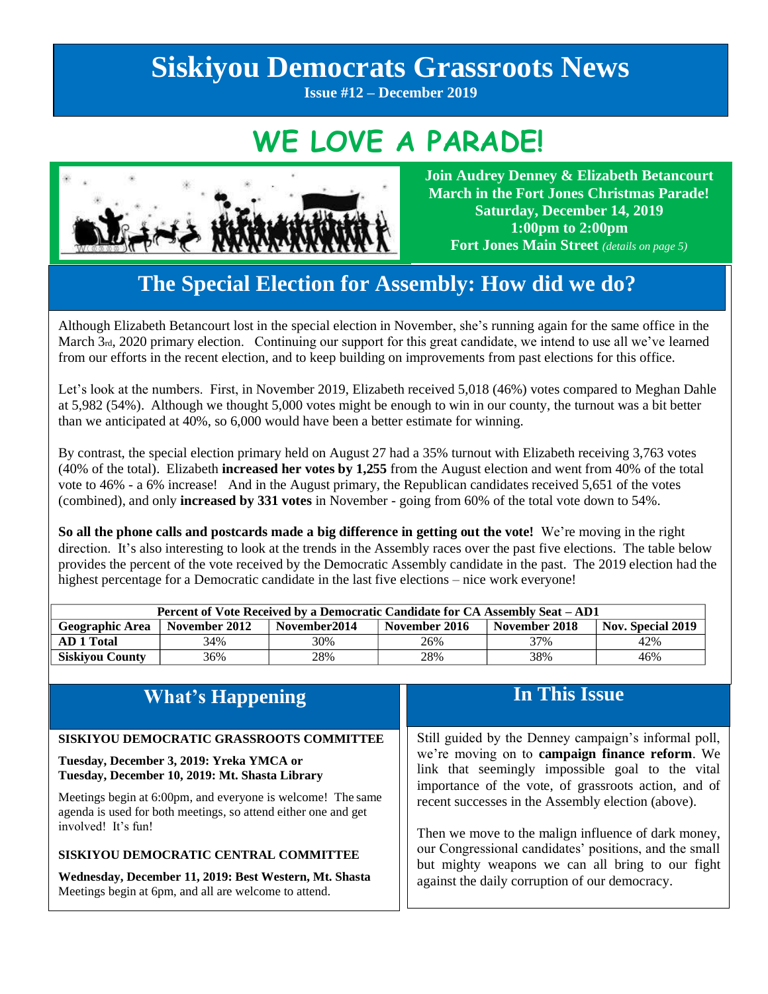# **Siskiyou Democrats Grassroots News**

**Issue #12 – December 2019**

## **WE LOVE A PARADE!**



**Join Audrey Denney & Elizabeth Betancourt March in the Fort Jones Christmas Parade! Saturday, December 14, 2019 1:00pm to 2:00pm Fort Jones Main Street** *(details on page 5)*

## **The Special Election for Assembly: How did we do?**

Although Elizabeth Betancourt lost in the special election in November, she's running again for the same office in the March  $3<sub>rd</sub>$ , 2020 primary election. Continuing our support for this great candidate, we intend to use all we've learned from our efforts in the recent election, and to keep building on improvements from past elections for this office.

Let's look at the numbers. First, in November 2019, Elizabeth received 5,018 (46%) votes compared to Meghan Dahle at 5,982 (54%). Although we thought 5,000 votes might be enough to win in our county, the turnout was a bit better than we anticipated at 40%, so 6,000 would have been a better estimate for winning.

By contrast, the special election primary held on August 27 had a 35% turnout with Elizabeth receiving 3,763 votes (40% of the total). Elizabeth **increased her votes by 1,255** from the August election and went from 40% of the total vote to 46% - a 6% increase! And in the August primary, the Republican candidates received 5,651 of the votes (combined), and only **increased by 331 votes** in November - going from 60% of the total vote down to 54%.

**So all the phone calls and postcards made a big difference in getting out the vote!** We're moving in the right direction. It's also interesting to look at the trends in the Assembly races over the past five elections. The table below provides the percent of the vote received by the Democratic Assembly candidate in the past. The 2019 election had the highest percentage for a Democratic candidate in the last five elections – nice work everyone!

| Percent of Vote Received by a Democratic Candidate for CA Assembly Seat – AD1 |               |               |               |               |                          |  |
|-------------------------------------------------------------------------------|---------------|---------------|---------------|---------------|--------------------------|--|
| <b>Geographic Area</b>                                                        | November 2012 | November 2014 | November 2016 | November 2018 | <b>Nov. Special 2019</b> |  |
| AD 1 Total                                                                    | 34%           | 30%           | 26%           | 37%           | 42%                      |  |
| <b>Siskivou County</b>                                                        | 36%           | 28%           | 28%           | 38%           | 46%                      |  |

| <b>What's Happening</b>                                                                                                                                  | In This Issue                                                                                                                                                                                                       |  |
|----------------------------------------------------------------------------------------------------------------------------------------------------------|---------------------------------------------------------------------------------------------------------------------------------------------------------------------------------------------------------------------|--|
| SISKIYOU DEMOCRATIC GRASSROOTS COMMITTEE<br>Tuesday, December 3, 2019: Yreka YMCA or<br>Tuesday, December 10, 2019: Mt. Shasta Library                   | Still guided by the Denney campaign's informal poll,<br>we're moving on to campaign finance reform. We<br>link that seemingly impossible goal to the vital                                                          |  |
| Meetings begin at 6:00pm, and everyone is welcome! The same<br>agenda is used for both meetings, so attend either one and get<br>involved! It's fun!     | importance of the vote, of grassroots action, and of<br>recent successes in the Assembly election (above).                                                                                                          |  |
| SISKIYOU DEMOCRATIC CENTRAL COMMITTEE<br>Wednesday, December 11, 2019: Best Western, Mt. Shasta<br>Meetings begin at 6pm, and all are welcome to attend. | Then we move to the malign influence of dark money,<br>our Congressional candidates' positions, and the small<br>but mighty weapons we can all bring to our fight<br>against the daily corruption of our democracy. |  |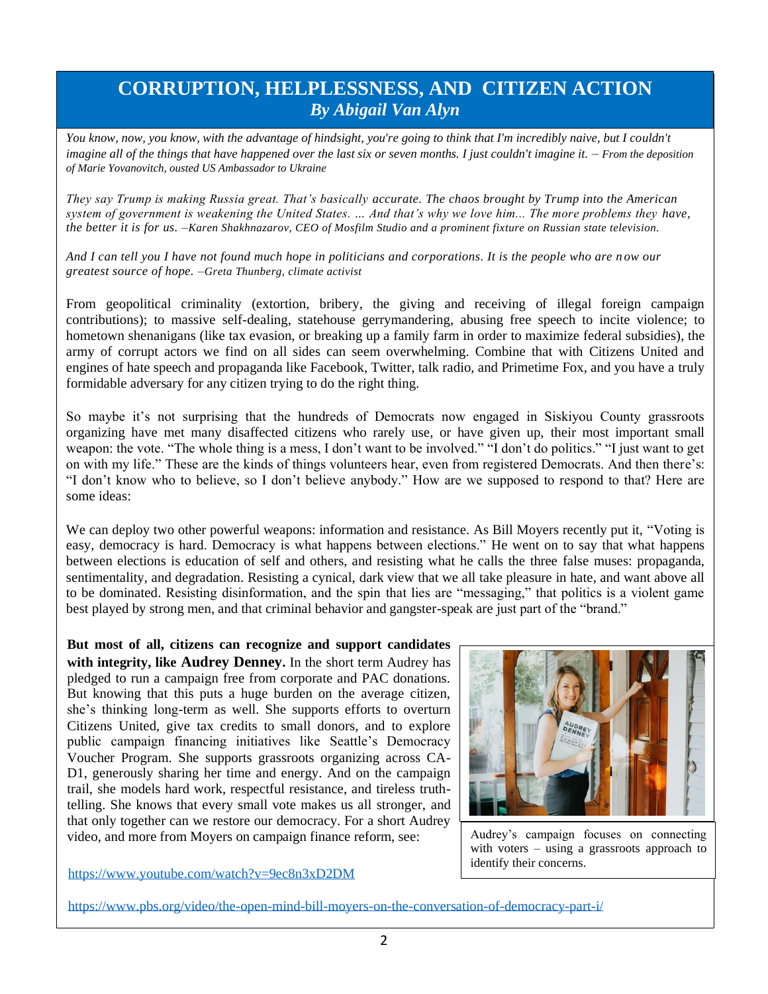## **CORRUPTION, HELPLESSNESS, AND CITIZEN ACTION** *By Abigail Van Alyn*

You know, now, you know, with the advantage of hindsight, you're going to think that I'm incredibly naive, but I couldn't *imagine all of the things that have happened over the last six or seven months. I just couldn't imagine it. – From the deposition of Marie Yovanovitch, ousted US Ambassador to Ukraine*

*They say Trump is making Russia great. That's basically accurate. The chaos brought by Trump into the American system of government is weakening the United States. … And that's why we love him... The more problems they have, the better it is for us. –Karen Shakhnazarov, CEO of Mosfilm Studio and a prominent fixture on Russian state television.*

*And I can tell you I have not found much hope in politicians and corporations. It is the people who are n ow our greatest source of hope. –Greta Thunberg, climate activist*

From geopolitical criminality (extortion, bribery, the giving and receiving of illegal foreign campaign contributions); to massive self-dealing, statehouse gerrymandering, abusing free speech to incite violence; to hometown shenanigans (like tax evasion, or breaking up a family farm in order to maximize federal subsidies), the army of corrupt actors we find on all sides can seem overwhelming. Combine that with Citizens United and engines of hate speech and propaganda like Facebook, Twitter, talk radio, and Primetime Fox, and you have a truly formidable adversary for any citizen trying to do the right thing.

So maybe it's not surprising that the hundreds of Democrats now engaged in Siskiyou County grassroots organizing have met many disaffected citizens who rarely use, or have given up, their most important small weapon: the vote. "The whole thing is a mess, I don't want to be involved." "I don't do politics." "I just want to get on with my life." These are the kinds of things volunteers hear, even from registered Democrats. And then there's: "I don't know who to believe, so I don't believe anybody." How are we supposed to respond to that? Here are some ideas:

We can deploy two other powerful weapons: information and resistance. As Bill Moyers recently put it, "Voting is easy, democracy is hard. Democracy is what happens between elections." He went on to say that what happens between elections is education of self and others, and resisting what he calls the three false muses: propaganda, sentimentality, and degradation. Resisting a cynical, dark view that we all take pleasure in hate, and want above all to be dominated. Resisting disinformation, and the spin that lies are "messaging," that politics is a violent game best played by strong men, and that criminal behavior and gangster-speak are just part of the "brand."

**But most of all, citizens can recognize and support candidates with integrity, like Audrey Denney.** In the short term Audrey has pledged to run a campaign free from corporate and PAC donations. But knowing that this puts a huge burden on the average citizen, she's thinking long-term as well. She supports efforts to overturn Citizens United, give tax credits to small donors, and to explore public campaign financing initiatives like Seattle's Democracy Voucher Program. She supports grassroots organizing across CA-D1, generously sharing her time and energy. And on the campaign trail, she models hard work, respectful resistance, and tireless truthtelling. She knows that every small vote makes us all stronger, and that only together can we restore our democracy. For a short Audrey video, and more from Moyers on campaign finance reform, see:



Audrey's campaign focuses on connecting with voters – using a grassroots approach to identify their concerns.

<https://www.youtube.com/watch?v=9ec8n3xD2DM>

<https://www.pbs.org/video/the-open-mind-bill-moyers-on-the-conversation-of-democracy-part-i/>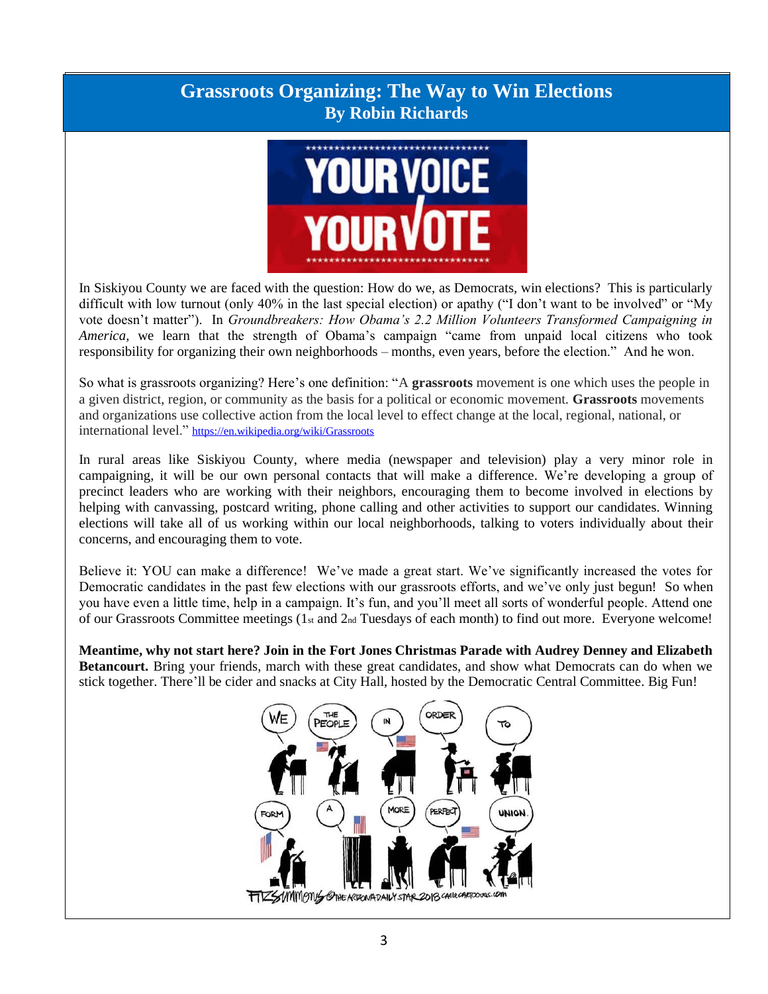### **Grassroots Organizing: The Way to Win Elections By Robin Richards**



In Siskiyou County we are faced with the question: How do we, as Democrats, win elections? This is particularly difficult with low turnout (only 40% in the last special election) or apathy ("I don't want to be involved" or "My vote doesn't matter"). In *Groundbreakers: How Obama's 2.2 Million Volunteers Transformed Campaigning in America*, we learn that the strength of Obama's campaign "came from unpaid local citizens who took responsibility for organizing their own neighborhoods – months, even years, before the election." And he won.

So what is grassroots organizing? Here's one definition: "A **grassroots** movement is one which uses the people in a given district, region, or community as the basis for a political or economic movement. **Grassroots** movements and organizations use collective action from the local level to effect change at the local, regional, national, or international level." <https://en.wikipedia.org/wiki/Grassroots>

In rural areas like Siskiyou County, where media (newspaper and television) play a very minor role in campaigning, it will be our own personal contacts that will make a difference. We're developing a group of precinct leaders who are working with their neighbors, encouraging them to become involved in elections by helping with canvassing, postcard writing, phone calling and other activities to support our candidates. Winning elections will take all of us working within our local neighborhoods, talking to voters individually about their concerns, and encouraging them to vote.

Believe it: YOU can make a difference! We've made a great start. We've significantly increased the votes for Democratic candidates in the past few elections with our grassroots efforts, and we've only just begun! So when you have even a little time, help in a campaign. It's fun, and you'll meet all sorts of wonderful people. Attend one of our Grassroots Committee meetings (1st and 2nd Tuesdays of each month) to find out more. Everyone welcome!

**Meantime, why not start here? Join in the Fort Jones Christmas Parade with Audrey Denney and Elizabeth Betancourt.** Bring your friends, march with these great candidates, and show what Democrats can do when we stick together. There'll be cider and snacks at City Hall, hosted by the Democratic Central Committee. Big Fun[!](/Users/robinrichards/Downloads/%0d*%20https:/en.wikipedia.org%20›%20wiki%20›%20Grassroots%0d)

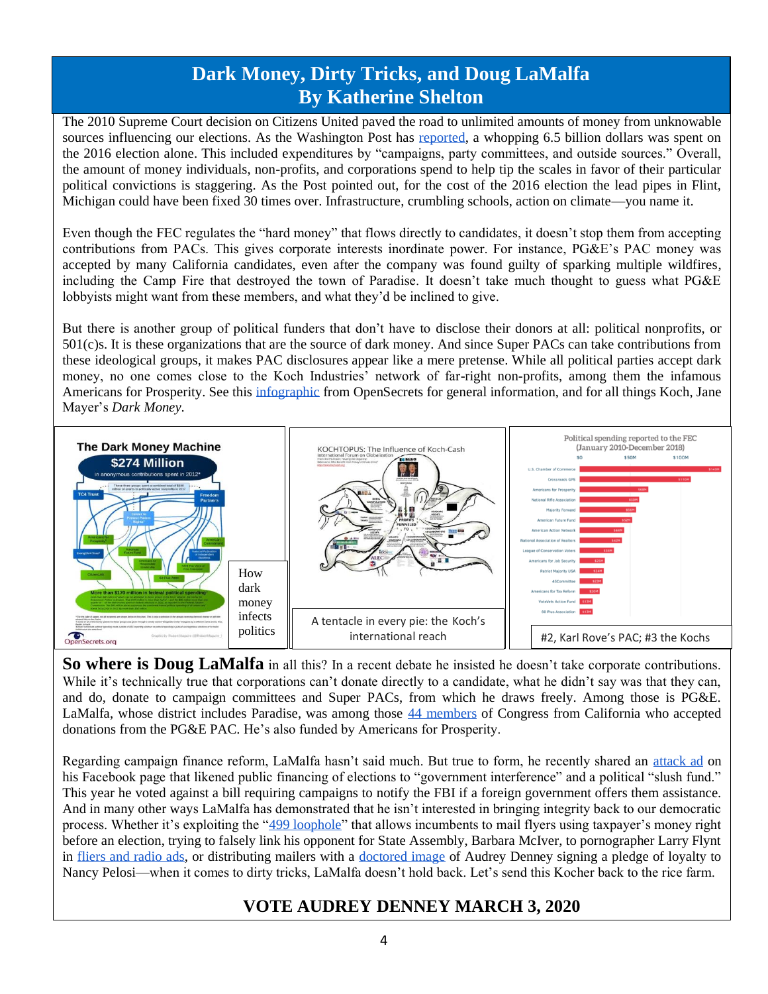## **Dark Money, Dirty Tricks, and Doug LaMalfa By Katherine Shelton**

The 2010 Supreme Court decision on Citizens United paved the road to unlimited amounts of money from unknowable sources influencing our elections. As the Washington Post has [reported,](https://www.washingtonpost.com/news/wonk/wp/2017/04/14/somebody-just-put-a-price-tag-on-the-2016-election-its-a-doozy/) a whopping 6.5 billion dollars was spent on the 2016 election alone. This included expenditures by "campaigns, party committees, and outside sources." Overall, the amount of money individuals, non-profits, and corporations spend to help tip the scales in favor of their particular political convictions is staggering. As the Post pointed out, for the cost of the 2016 election the lead pipes in Flint, Michigan could have been fixed 30 times over. Infrastructure, crumbling schools, action on climate—you name it.

Even though the FEC regulates the "hard money" that flows directly to candidates, it doesn't stop them from accepting contributions from PACs. This gives corporate interests inordinate power. For instance, PG&E's PAC money was accepted by many California candidates, even after the company was found guilty of sparking multiple wildfires, including the Camp Fire that destroyed the town of Paradise. It doesn't take much thought to guess what PG&E lobbyists might want from these members, and what they'd be inclined to give.

But there is another group of political funders that don't have to disclose their donors at all: political nonprofits, or 501(c)s. It is these organizations that are the source of dark money. And since Super PACs can take contributions from these ideological groups, it makes PAC disclosures appear like a mere pretense. While all political parties accept dark money, no one comes close to the Koch Industries' network of far-right non-profits, among them the infamous Americans for Prosperity. See this [infographic](https://www.opensecrets.org/dark-money/shadow-infographic.php) from OpenSecrets for general information, and for all things Koch, Jane Mayer's *Dark Money.*



**So where is Doug LaMalfa** in all this? In a recent debate he insisted he doesn't take corporate contributions. While it's technically true that corporations can't donate directly to a candidate, what he didn't say was that they can, and do, donate to campaign committees and Super PACs, from which he draws freely. Among those is PG&E. LaMalfa, whose district includes Paradise, was among those [44 members](https://www.abc10.com/article/news/local/wildfire/california-congress-members-took-money-from-pge/103-ca1ffb54-95e1-4989-8b3c-21bbda5c3572) of Congress from California who accepted donations from the PG&E PAC. He's also funded by Americans for Prosperity.

Regarding campaign finance reform, LaMalfa hasn't said much. But true to form, he recently shared an [attack ad](https://www.facebook.com/RepKevinMcCarthy/videos/350138345835203/UzpfSTE1MDI1OTc0MjMzMjcwNTc6MjIwMTY4OTU1Njc1MTE3MA/?comment_id=2201691293417663&reply_comment_id=2201822073404585&comment_tracking=%7B%22tn%22%3A%22R%22%7D&redirect=false) on his Facebook page that likened public financing of elections to "government interference" and a political "slush fund." This year he voted against a bill requiring campaigns to notify the FBI if a foreign government offers them assistance. And in many other ways LaMalfa has demonstrated that he isn't interested in bringing integrity back to our democratic process. Whether it's exploiting the ["499 loophole"](https://www.redding.com/story/news/local/2018/11/03/district-1-congressman-doug-lamalfa-legally-sent-taxpayer-paid-mailers/1859348002/) that allows incumbents to mail flyers using taxpayer's money right before an election, trying to falsely link his opponent for State Assembly, Barbara McIver, to pornographer Larry Flynt in [fliers and radio ads,](https://www.redding.com/story/news/local/2018/10/25/denney-says-lamalfas-office-put-fake-picture-her-new-mailer/1762639002/) or distributing mailers with a [doctored image](https://www.redding.com/story/news/local/2018/10/25/denney-says-lamalfas-office-put-fake-picture-her-new-mailer/1762639002/) of Audrey Denney signing a pledge of loyalty to Nancy Pelosi—when it comes to dirty tricks, LaMalfa doesn't hold back. Let's send this Kocher back to the rice farm.

### **VOTE AUDREY DENNEY MARCH 3, 2020**